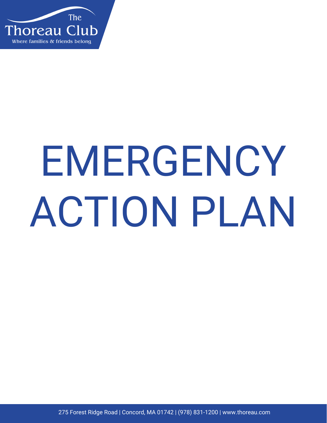

# EMERGENCY ACTION PLAN

275 Forest Ridge Road | Concord, MA 01742 | (978) 831-1200 | www.thoreau.com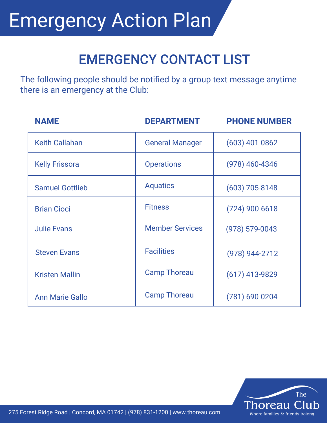## EMERGENCY CONTACT LIST

The following people should be notified by a group text message anytime there is an emergency at the Club:

| <b>NAME</b>            | <b>DEPARTMENT</b>      | <b>PHONE NUMBER</b> |
|------------------------|------------------------|---------------------|
| <b>Keith Callahan</b>  | <b>General Manager</b> | $(603)$ 401-0862    |
| <b>Kelly Frissora</b>  | <b>Operations</b>      | $(978)$ 460-4346    |
| <b>Samuel Gottlieb</b> | <b>Aquatics</b>        | $(603)$ 705-8148    |
| <b>Brian Cioci</b>     | <b>Fitness</b>         | $(724)$ 900-6618    |
| <b>Julie Evans</b>     | <b>Member Services</b> | $(978) 579 - 0043$  |
| <b>Steven Evans</b>    | <b>Facilities</b>      | (978) 944-2712      |
| <b>Kristen Mallin</b>  | <b>Camp Thoreau</b>    | $(617)$ 413-9829    |
| <b>Ann Marie Gallo</b> | <b>Camp Thoreau</b>    | $(781)$ 690-0204    |



275 Forest Ridge Road | Concord, MA 01742 | (978) 831-1200 | www.thoreau.com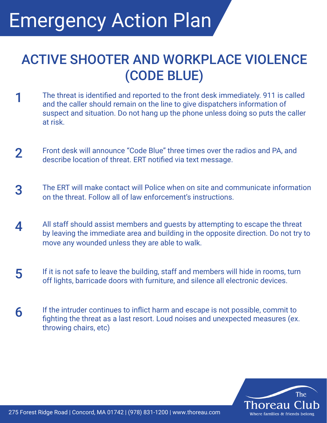#### ACTIVE SHOOTER AND WORKPLACE VIOLENCE (CODE BLUE)

- 1 The threat is identified and reported to the front desk immediately. 911 is called and the caller should remain on the line to give dispatchers information of suspect and situation. Do not hang up the phone unless doing so puts the caller at risk.
- Front desk will announce "Code Blue" three times over the radios and PA, and describe location of threat. ERT notified via text message. 2
- The ERT will make contact will Police when on site and communicate information on the threat. Follow all of law enforcement's instructions. 3
- All staff should assist members and guests by attempting to escape the threat by leaving the immediate area and building in the opposite direction. Do not try to move any wounded unless they are able to walk. 4
- If it is not safe to leave the building, staff and members will hide in rooms, turn off lights, barricade doors with furniture, and silence all electronic devices. 5
- If the intruder continues to inflict harm and escape is not possible, commit to fighting the threat as a last resort. Loud noises and unexpected measures (ex. throwing chairs, etc) 6

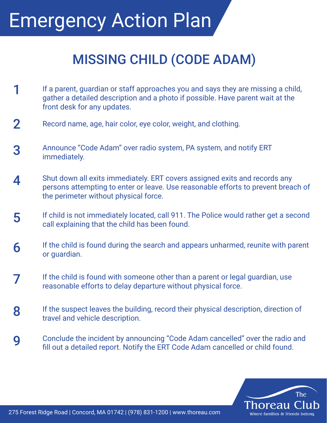## MISSING CHILD (CODE ADAM)

- 1 If a parent, guardian or staff approaches you and says they are missing a child, gather a detailed description and a photo if possible. Have parent wait at the front desk for any updates.
- Record name, age, hair color, eye color, weight, and clothing. 2
- Announce "Code Adam" over radio system, PA system, and notify ERT immediately. 3
- Shut down all exits immediately. ERT covers assigned exits and records any persons attempting to enter or leave. Use reasonable efforts to prevent breach of the perimeter without physical force. 4
- If child is not immediately located, call 911. The Police would rather get a second call explaining that the child has been found. 5
- If the child is found during the search and appears unharmed, reunite with parent or guardian. 6
- If the child is found with someone other than a parent or legal guardian, use The child is found with someone other than a parent or lega<br>reasonable efforts to delay departure without physical force.
- If the suspect leaves the building, record their physical description, direction of travel and vehicle description. 8
- Conclude the incident by announcing "Code Adam cancelled" over the radio and fill out a detailed report. Notify the ERT Code Adam cancelled or child found. 9

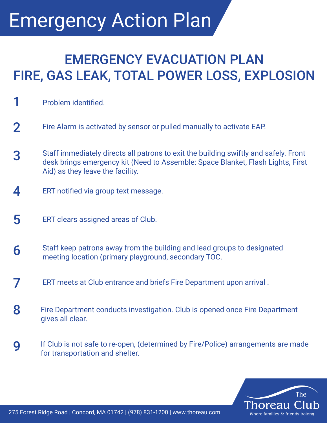## EMERGENCY EVACUATION PLAN FIRE, GAS LEAK, TOTAL POWER LOSS, EXPLOSION

- 1 **Problem identified.**
- Fire Alarm is activated by sensor or pulled manually to activate EAP. 2
- Staff immediately directs all patrons to exit the building swiftly and safely. Front desk brings emergency kit (Need to Assemble: Space Blanket, Flash Lights, First Aid) as they leave the facility. 3
- ERT notified via group text message. 4
- ERT clears assigned areas of Club. 5
- Staff keep patrons away from the building and lead groups to designated meeting location (primary playground, secondary TOC. 6
- 7 ERT meets at Club entrance and briefs Fire Department upon arrival .
- Fire Department conducts investigation. Club is opened once Fire Department gives all clear. 8
- If Club is not safe to re-open, (determined by Fire/Police) arrangements are made for transportation and shelter. 9

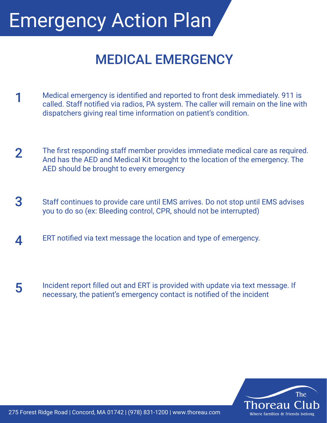#### MEDICAL EMERGENCY

- 1 Medical emergency is identified and reported to front desk immediately. 911 is called. Staff notified via radios, PA system. The caller will remain on the line with dispatchers giving real time information on patient's condition.
- The first responding staff member provides immediate medical care as required. And has the AED and Medical Kit brought to the location of the emergency. The AED should be brought to every emergency 2
- Staff continues to provide care until EMS arrives. Do not stop until EMS advises you to do so (ex: Bleeding control, CPR, should not be interrupted) 3
- ERT notified via text message the location and type of emergency. 4
- Incident report filled out and ERT is provided with update via text message. If necessary, the patient's emergency contact is notified of the incident 5